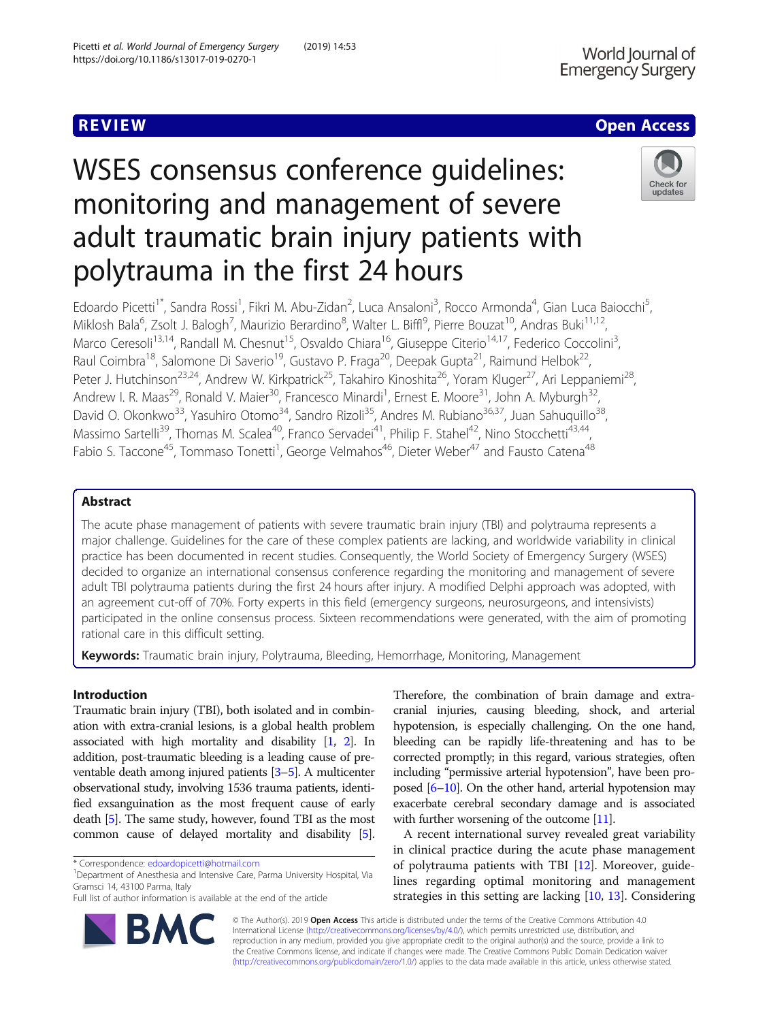# **REVIEW ACCESS AND LOCAL CONTRACT CONTRACT OF ACCESS**

# WSES consensus conference guidelines: monitoring and management of severe adult traumatic brain injury patients with polytrauma in the first 24 hours



Edoardo Picetti<sup>1\*</sup>, Sandra Rossi<sup>1</sup>, Fikri M. Abu-Zidan<sup>2</sup>, Luca Ansaloni<sup>3</sup>, Rocco Armonda<sup>4</sup>, Gian Luca Baiocchi<sup>5</sup> , Miklosh Bala<sup>6</sup>, Zsolt J. Balogh<sup>7</sup>, Maurizio Berardino<sup>8</sup>, Walter L. Biffl<sup>9</sup>, Pierre Bouzat<sup>10</sup>, Andras Buki<sup>11,12</sup>, Marco Ceresoli<sup>13,14</sup>, Randall M. Chesnut<sup>15</sup>, Osvaldo Chiara<sup>16</sup>, Giuseppe Citerio<sup>14,17</sup>, Federico Coccolini<sup>3</sup>, , Raul Coimbra<sup>18</sup>, Salomone Di Saverio<sup>19</sup>, Gustavo P. Fraga<sup>20</sup>, Deepak Gupta<sup>21</sup>, Raimund Helbok<sup>22</sup>, Peter J. Hutchinson<sup>23,24</sup>, Andrew W. Kirkpatrick<sup>25</sup>, Takahiro Kinoshita<sup>26</sup>, Yoram Kluger<sup>27</sup>, Ari Leppaniemi<sup>28</sup>, Andrew I. R. Maas<sup>29</sup>, Ronald V. Maier<sup>30</sup>, Francesco Minardi<sup>1</sup>, Ernest E. Moore<sup>31</sup>, John A. Myburgh<sup>32</sup>, David O. Okonkwo<sup>33</sup>, Yasuhiro Otomo<sup>34</sup>, Sandro Rizoli<sup>35</sup>, Andres M. Rubiano<sup>36,37</sup>, Juan Sahuquillo<sup>38</sup>, Massimo Sartelli<sup>39</sup>, Thomas M. Scalea<sup>40</sup>, Franco Servadei<sup>41</sup>, Philip F. Stahel<sup>42</sup>, Nino Stocchetti<sup>43,44</sup>, Fabio S. Taccone<sup>45</sup>, Tommaso Tonetti<sup>1</sup>, George Velmahos<sup>46</sup>, Dieter Weber<sup>47</sup> and Fausto Catena<sup>48</sup>

# Abstract

The acute phase management of patients with severe traumatic brain injury (TBI) and polytrauma represents a major challenge. Guidelines for the care of these complex patients are lacking, and worldwide variability in clinical practice has been documented in recent studies. Consequently, the World Society of Emergency Surgery (WSES) decided to organize an international consensus conference regarding the monitoring and management of severe adult TBI polytrauma patients during the first 24 hours after injury. A modified Delphi approach was adopted, with an agreement cut-off of 70%. Forty experts in this field (emergency surgeons, neurosurgeons, and intensivists) participated in the online consensus process. Sixteen recommendations were generated, with the aim of promoting rational care in this difficult setting.

Keywords: Traumatic brain injury, Polytrauma, Bleeding, Hemorrhage, Monitoring, Management

# Introduction

Traumatic brain injury (TBI), both isolated and in combination with extra-cranial lesions, is a global health problem associated with high mortality and disability [[1](#page-7-0), [2](#page-7-0)]. In addition, post-traumatic bleeding is a leading cause of preventable death among injured patients [[3](#page-7-0)–[5\]](#page-7-0). A multicenter observational study, involving 1536 trauma patients, identified exsanguination as the most frequent cause of early death [\[5\]](#page-7-0). The same study, however, found TBI as the most common cause of delayed mortality and disability [[5](#page-7-0)].

Department of Anesthesia and Intensive Care, Parma University Hospital, Via Gramsci 14, 43100 Parma, Italy

Therefore, the combination of brain damage and extracranial injuries, causing bleeding, shock, and arterial hypotension, is especially challenging. On the one hand, bleeding can be rapidly life-threatening and has to be corrected promptly; in this regard, various strategies, often including "permissive arterial hypotension", have been proposed [[6](#page-7-0)–[10](#page-7-0)]. On the other hand, arterial hypotension may exacerbate cerebral secondary damage and is associated with further worsening of the outcome [\[11\]](#page-7-0).

A recent international survey revealed great variability in clinical practice during the acute phase management of polytrauma patients with TBI [[12](#page-7-0)]. Moreover, guidelines regarding optimal monitoring and management strategies in this setting are lacking [[10,](#page-7-0) [13\]](#page-7-0). Considering



© The Author(s). 2019 Open Access This article is distributed under the terms of the Creative Commons Attribution 4.0 International License [\(http://creativecommons.org/licenses/by/4.0/](http://creativecommons.org/licenses/by/4.0/)), which permits unrestricted use, distribution, and reproduction in any medium, provided you give appropriate credit to the original author(s) and the source, provide a link to the Creative Commons license, and indicate if changes were made. The Creative Commons Public Domain Dedication waiver [\(http://creativecommons.org/publicdomain/zero/1.0/](http://creativecommons.org/publicdomain/zero/1.0/)) applies to the data made available in this article, unless otherwise stated.

<sup>\*</sup> Correspondence: [edoardopicetti@hotmail.com](mailto:edoardopicetti@hotmail.com) <sup>1</sup>

Full list of author information is available at the end of the article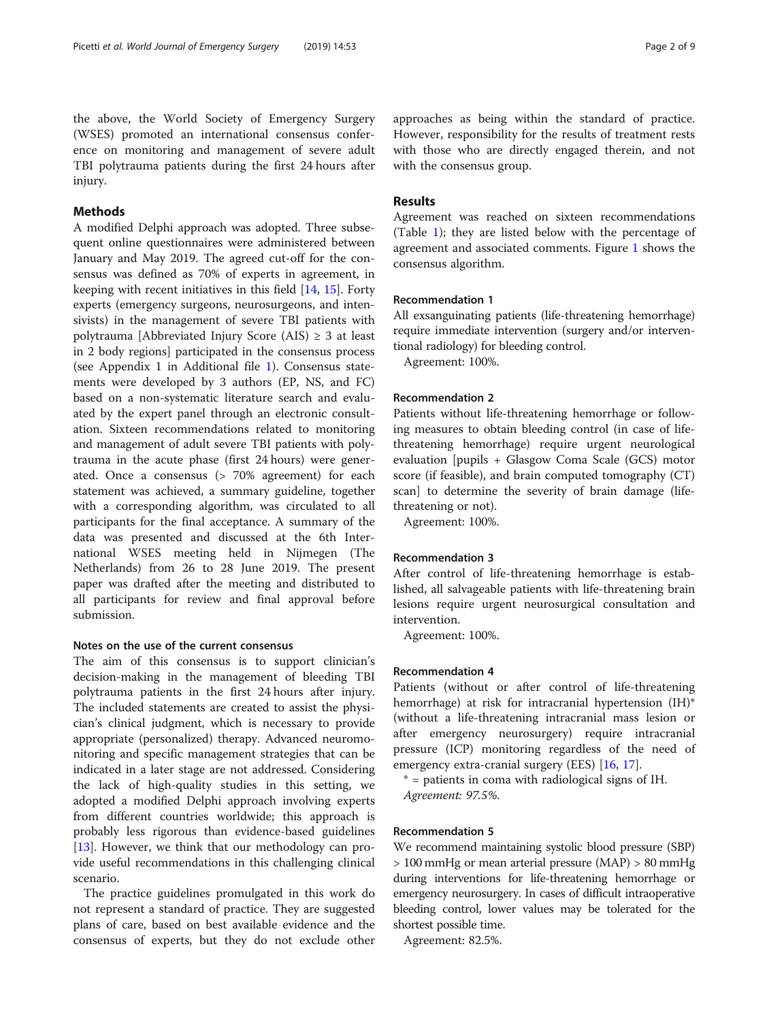the above, the World Society of Emergency Surgery (WSES) promoted an international consensus conference on monitoring and management of severe adult TBI polytrauma patients during the first 24 hours after injury.

# Methods

A modified Delphi approach was adopted. Three subsequent online questionnaires were administered between January and May 2019. The agreed cut-off for the consensus was defined as 70% of experts in agreement, in keeping with recent initiatives in this field [[14,](#page-7-0) [15\]](#page-7-0). Forty experts (emergency surgeons, neurosurgeons, and intensivists) in the management of severe TBI patients with polytrauma [Abbreviated Injury Score (AIS)  $\geq$  3 at least in 2 body regions] participated in the consensus process (see Appendix 1 in Additional file [1\)](#page-6-0). Consensus statements were developed by 3 authors (EP, NS, and FC) based on a non-systematic literature search and evaluated by the expert panel through an electronic consultation. Sixteen recommendations related to monitoring and management of adult severe TBI patients with polytrauma in the acute phase (first 24 hours) were generated. Once a consensus (> 70% agreement) for each statement was achieved, a summary guideline, together with a corresponding algorithm, was circulated to all participants for the final acceptance. A summary of the data was presented and discussed at the 6th International WSES meeting held in Nijmegen (The Netherlands) from 26 to 28 June 2019. The present paper was drafted after the meeting and distributed to all participants for review and final approval before submission.

# Notes on the use of the current consensus

The aim of this consensus is to support clinician's decision-making in the management of bleeding TBI polytrauma patients in the first 24 hours after injury. The included statements are created to assist the physician's clinical judgment, which is necessary to provide appropriate (personalized) therapy. Advanced neuromonitoring and specific management strategies that can be indicated in a later stage are not addressed. Considering the lack of high-quality studies in this setting, we adopted a modified Delphi approach involving experts from different countries worldwide; this approach is probably less rigorous than evidence-based guidelines [[13\]](#page-7-0). However, we think that our methodology can provide useful recommendations in this challenging clinical scenario.

The practice guidelines promulgated in this work do not represent a standard of practice. They are suggested plans of care, based on best available evidence and the consensus of experts, but they do not exclude other

approaches as being within the standard of practice. However, responsibility for the results of treatment rests with those who are directly engaged therein, and not with the consensus group.

# Results

Agreement was reached on sixteen recommendations (Table [1](#page-2-0)); they are listed below with the percentage of agreement and associated comments. Figure [1](#page-3-0) shows the consensus algorithm.

# Recommendation 1

All exsanguinating patients (life-threatening hemorrhage) require immediate intervention (surgery and/or interventional radiology) for bleeding control.

Agreement: 100%.

#### Recommendation 2

Patients without life-threatening hemorrhage or following measures to obtain bleeding control (in case of lifethreatening hemorrhage) require urgent neurological evaluation [pupils + Glasgow Coma Scale (GCS) motor score (if feasible), and brain computed tomography (CT) scan] to determine the severity of brain damage (lifethreatening or not).

Agreement: 100%.

## Recommendation 3

After control of life-threatening hemorrhage is established, all salvageable patients with life-threatening brain lesions require urgent neurosurgical consultation and intervention.

Agreement: 100%.

### Recommendation 4

Patients (without or after control of life-threatening hemorrhage) at risk for intracranial hypertension (IH)\* (without a life-threatening intracranial mass lesion or after emergency neurosurgery) require intracranial pressure (ICP) monitoring regardless of the need of emergency extra-cranial surgery (EES) [\[16](#page-7-0), [17](#page-7-0)].

\* = patients in coma with radiological signs of IH. Agreement: 97.5%.

#### Recommendation 5

We recommend maintaining systolic blood pressure (SBP) > 100 mmHg or mean arterial pressure (MAP) > 80 mmHg during interventions for life-threatening hemorrhage or emergency neurosurgery. In cases of difficult intraoperative bleeding control, lower values may be tolerated for the shortest possible time.

Agreement: 82.5%.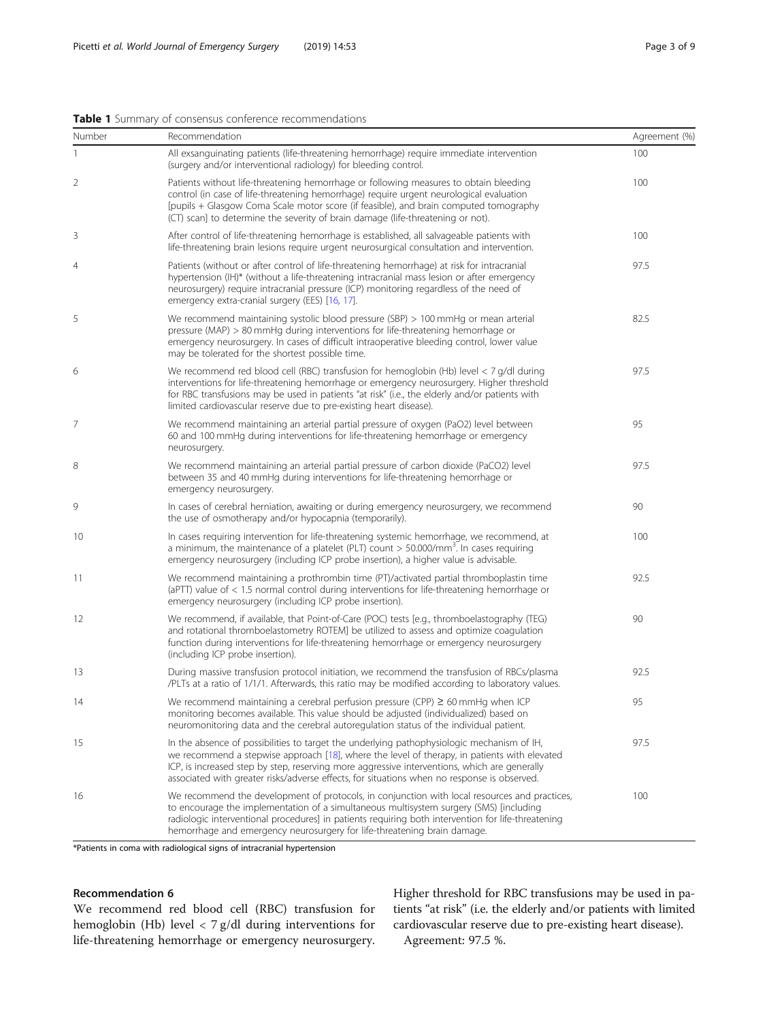#### <span id="page-2-0"></span>Table 1 Summary of consensus conference recommendations

| Number         | Recommendation                                                                                                                                                                                                                                                                                                                                                                            | Agreement (%) |
|----------------|-------------------------------------------------------------------------------------------------------------------------------------------------------------------------------------------------------------------------------------------------------------------------------------------------------------------------------------------------------------------------------------------|---------------|
| 1              | All exsanguinating patients (life-threatening hemorrhage) require immediate intervention<br>(surgery and/or interventional radiology) for bleeding control.                                                                                                                                                                                                                               | 100           |
| 2              | Patients without life-threatening hemorrhage or following measures to obtain bleeding<br>control (in case of life-threatening hemorrhage) require urgent neurological evaluation<br>[pupils + Glasgow Coma Scale motor score (if feasible), and brain computed tomography<br>(CT) scan] to determine the severity of brain damage (life-threatening or not).                              | 100           |
| 3              | After control of life-threatening hemorrhage is established, all salvageable patients with<br>life-threatening brain lesions require urgent neurosurgical consultation and intervention.                                                                                                                                                                                                  | 100           |
| $\overline{4}$ | Patients (without or after control of life-threatening hemorrhage) at risk for intracranial<br>hypertension (IH)* (without a life-threatening intracranial mass lesion or after emergency<br>neurosurgery) require intracranial pressure (ICP) monitoring regardless of the need of<br>emergency extra-cranial surgery (EES) [16, 17].                                                    | 97.5          |
| 5              | We recommend maintaining systolic blood pressure (SBP) > 100 mmHg or mean arterial<br>pressure (MAP) $> 80$ mmHg during interventions for life-threatening hemorrhage or<br>emergency neurosurgery. In cases of difficult intraoperative bleeding control, lower value<br>may be tolerated for the shortest possible time.                                                                | 82.5          |
| 6              | We recommend red blood cell (RBC) transfusion for hemoglobin (Hb) level < 7 g/dl during<br>interventions for life-threatening hemorrhage or emergency neurosurgery. Higher threshold<br>for RBC transfusions may be used in patients "at risk" (i.e., the elderly and/or patients with<br>limited cardiovascular reserve due to pre-existing heart disease).                              | 97.5          |
| 7              | We recommend maintaining an arterial partial pressure of oxygen (PaO2) level between<br>60 and 100 mmHg during interventions for life-threatening hemorrhage or emergency<br>neurosurgery.                                                                                                                                                                                                | 95            |
| 8              | We recommend maintaining an arterial partial pressure of carbon dioxide (PaCO2) level<br>between 35 and 40 mmHg during interventions for life-threatening hemorrhage or<br>emergency neurosurgery.                                                                                                                                                                                        | 97.5          |
| 9              | In cases of cerebral herniation, awaiting or during emergency neurosurgery, we recommend<br>the use of osmotherapy and/or hypocapnia (temporarily).                                                                                                                                                                                                                                       | 90            |
| 10             | In cases requiring intervention for life-threatening systemic hemorrhage, we recommend, at<br>a minimum, the maintenance of a platelet (PLT) count $>$ 50.000/mm <sup>3</sup> . In cases requiring<br>emergency neurosurgery (including ICP probe insertion), a higher value is advisable.                                                                                                | 100           |
| 11             | We recommend maintaining a prothrombin time (PT)/activated partial thromboplastin time<br>(aPTT) value of $< 1.5$ normal control during interventions for life-threatening hemorrhage or<br>emergency neurosurgery (including ICP probe insertion).                                                                                                                                       | 92.5          |
| 12             | We recommend, if available, that Point-of-Care (POC) tests [e.g., thromboelastography (TEG)<br>and rotational thromboelastometry ROTEM] be utilized to assess and optimize coagulation<br>function during interventions for life-threatening hemorrhage or emergency neurosurgery<br>(including ICP probe insertion).                                                                     | 90            |
| 13             | During massive transfusion protocol initiation, we recommend the transfusion of RBCs/plasma<br>/PLTs at a ratio of 1/1/1. Afterwards, this ratio may be modified according to laboratory values.                                                                                                                                                                                          | 92.5          |
| 14             | We recommend maintaining a cerebral perfusion pressure (CPP) $\geq 60$ mmHg when ICP<br>monitoring becomes available. This value should be adjusted (individualized) based on<br>neuromonitoring data and the cerebral autoregulation status of the individual patient.                                                                                                                   | 95            |
| 15             | In the absence of possibilities to target the underlying pathophysiologic mechanism of IH,<br>we recommend a stepwise approach [18], where the level of therapy, in patients with elevated<br>ICP, is increased step by step, reserving more aggressive interventions, which are generally<br>associated with greater risks/adverse effects, for situations when no response is observed. | 97.5          |
| 16             | We recommend the development of protocols, in conjunction with local resources and practices,<br>to encourage the implementation of a simultaneous multisystem surgery (SMS) [including<br>radiologic interventional procedures] in patients requiring both intervention for life-threatening<br>hemorrhage and emergency neurosurgery for life-threatening brain damage.                 | 100           |

\*Patients in coma with radiological signs of intracranial hypertension

# Recommendation 6

We recommend red blood cell (RBC) transfusion for hemoglobin (Hb) level < 7 g/dl during interventions for life-threatening hemorrhage or emergency neurosurgery. Higher threshold for RBC transfusions may be used in patients "at risk" (i.e. the elderly and/or patients with limited cardiovascular reserve due to pre-existing heart disease). Agreement: 97.5 %.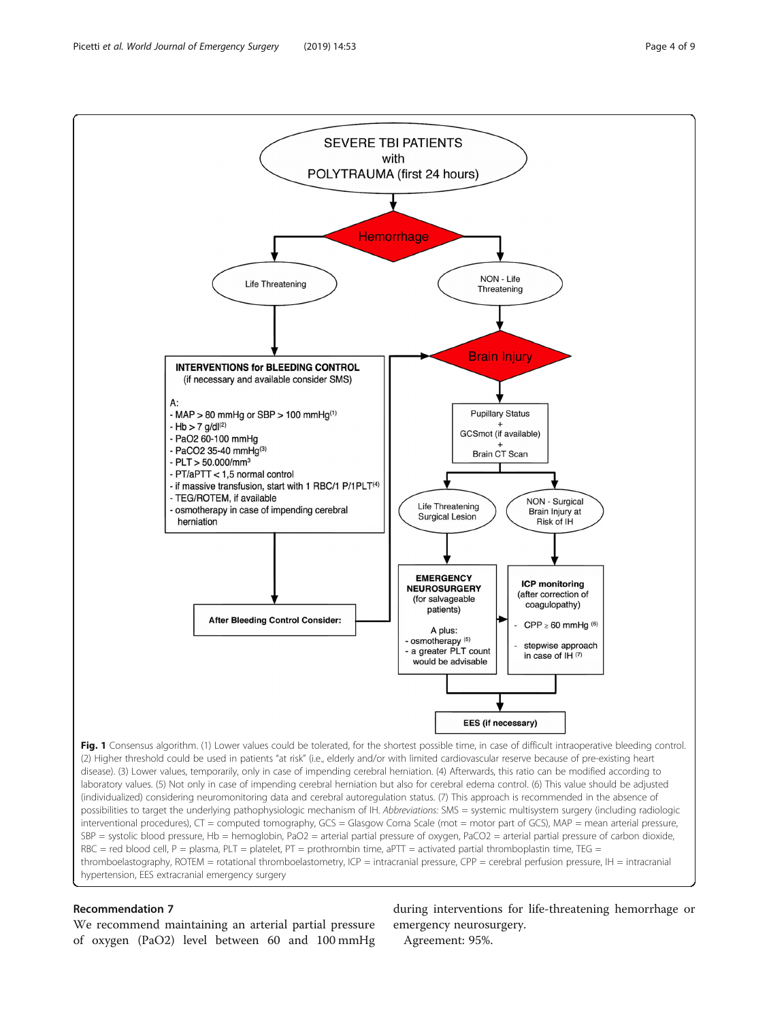<span id="page-3-0"></span>

# Recommendation 7

We recommend maintaining an arterial partial pressure of oxygen (PaO2) level between 60 and 100 mmHg

during interventions for life-threatening hemorrhage or emergency neurosurgery.

Agreement: 95%.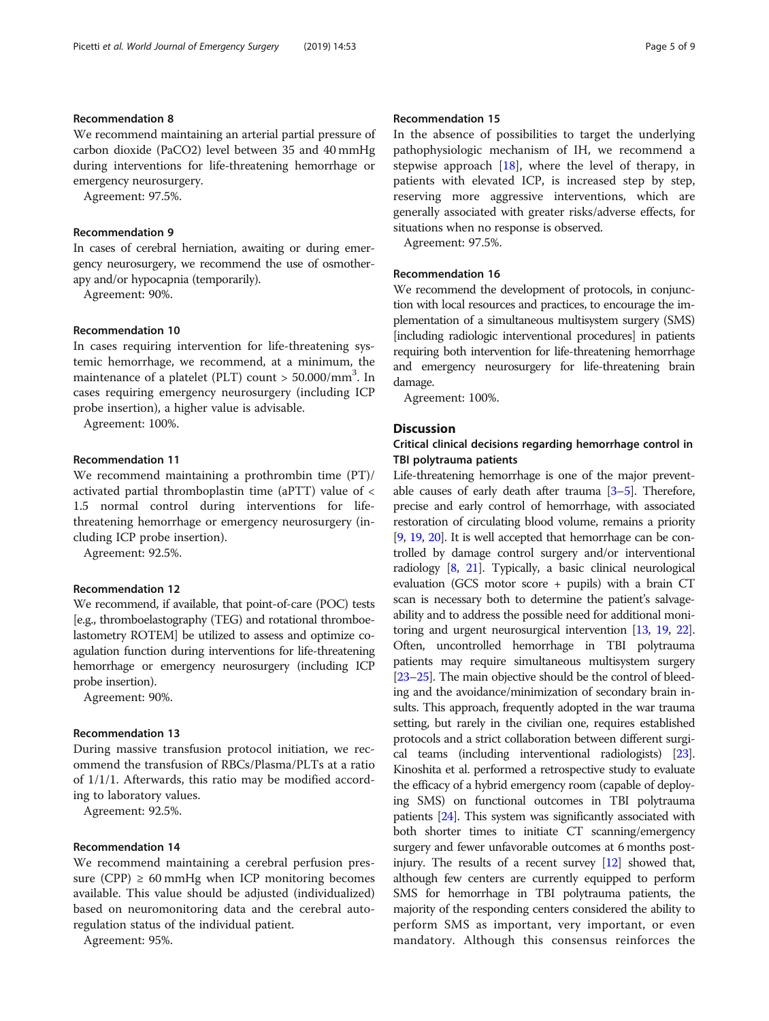### Recommendation 8

We recommend maintaining an arterial partial pressure of carbon dioxide (PaCO2) level between 35 and 40 mmHg during interventions for life-threatening hemorrhage or emergency neurosurgery.

Agreement: 97.5%.

# Recommendation 9

In cases of cerebral herniation, awaiting or during emergency neurosurgery, we recommend the use of osmotherapy and/or hypocapnia (temporarily).

Agreement: 90%.

#### Recommendation 10

In cases requiring intervention for life-threatening systemic hemorrhage, we recommend, at a minimum, the maintenance of a platelet (PLT) count > 50.000/mm<sup>3</sup>. In cases requiring emergency neurosurgery (including ICP probe insertion), a higher value is advisable.

Agreement: 100%.

#### Recommendation 11

We recommend maintaining a prothrombin time (PT)/ activated partial thromboplastin time (aPTT) value of < 1.5 normal control during interventions for lifethreatening hemorrhage or emergency neurosurgery (including ICP probe insertion).

Agreement: 92.5%.

### Recommendation 12

We recommend, if available, that point-of-care (POC) tests [e.g., thromboelastography (TEG) and rotational thromboelastometry ROTEM] be utilized to assess and optimize coagulation function during interventions for life-threatening hemorrhage or emergency neurosurgery (including ICP probe insertion).

Agreement: 90%.

#### Recommendation 13

During massive transfusion protocol initiation, we recommend the transfusion of RBCs/Plasma/PLTs at a ratio of 1/1/1. Afterwards, this ratio may be modified according to laboratory values.

Agreement: 92.5%.

#### Recommendation 14

We recommend maintaining a cerebral perfusion pressure (CPP)  $\geq 60$  mmHg when ICP monitoring becomes available. This value should be adjusted (individualized) based on neuromonitoring data and the cerebral autoregulation status of the individual patient.

Agreement: 95%.

# Recommendation 15

In the absence of possibilities to target the underlying pathophysiologic mechanism of IH, we recommend a stepwise approach  $[18]$  $[18]$  $[18]$ , where the level of therapy, in patients with elevated ICP, is increased step by step, reserving more aggressive interventions, which are generally associated with greater risks/adverse effects, for situations when no response is observed.

Agreement: 97.5%.

# Recommendation 16

We recommend the development of protocols, in conjunction with local resources and practices, to encourage the implementation of a simultaneous multisystem surgery (SMS) [including radiologic interventional procedures] in patients requiring both intervention for life-threatening hemorrhage and emergency neurosurgery for life-threatening brain damage.

Agreement: 100%.

# **Discussion**

# Critical clinical decisions regarding hemorrhage control in TBI polytrauma patients

Life-threatening hemorrhage is one of the major preventable causes of early death after trauma  $[3-5]$  $[3-5]$  $[3-5]$  $[3-5]$ . Therefore, precise and early control of hemorrhage, with associated restoration of circulating blood volume, remains a priority [[9](#page-7-0), [19,](#page-7-0) [20](#page-7-0)]. It is well accepted that hemorrhage can be controlled by damage control surgery and/or interventional radiology [\[8,](#page-7-0) [21\]](#page-7-0). Typically, a basic clinical neurological evaluation (GCS motor score + pupils) with a brain CT scan is necessary both to determine the patient's salvageability and to address the possible need for additional monitoring and urgent neurosurgical intervention [[13](#page-7-0), [19,](#page-7-0) [22](#page-7-0)]. Often, uncontrolled hemorrhage in TBI polytrauma patients may require simultaneous multisystem surgery [[23](#page-7-0)–[25](#page-7-0)]. The main objective should be the control of bleeding and the avoidance/minimization of secondary brain insults. This approach, frequently adopted in the war trauma setting, but rarely in the civilian one, requires established protocols and a strict collaboration between different surgical teams (including interventional radiologists) [\[23](#page-7-0)]. Kinoshita et al. performed a retrospective study to evaluate the efficacy of a hybrid emergency room (capable of deploying SMS) on functional outcomes in TBI polytrauma patients [[24](#page-7-0)]. This system was significantly associated with both shorter times to initiate CT scanning/emergency surgery and fewer unfavorable outcomes at 6 months postinjury. The results of a recent survey [\[12\]](#page-7-0) showed that, although few centers are currently equipped to perform SMS for hemorrhage in TBI polytrauma patients, the majority of the responding centers considered the ability to perform SMS as important, very important, or even mandatory. Although this consensus reinforces the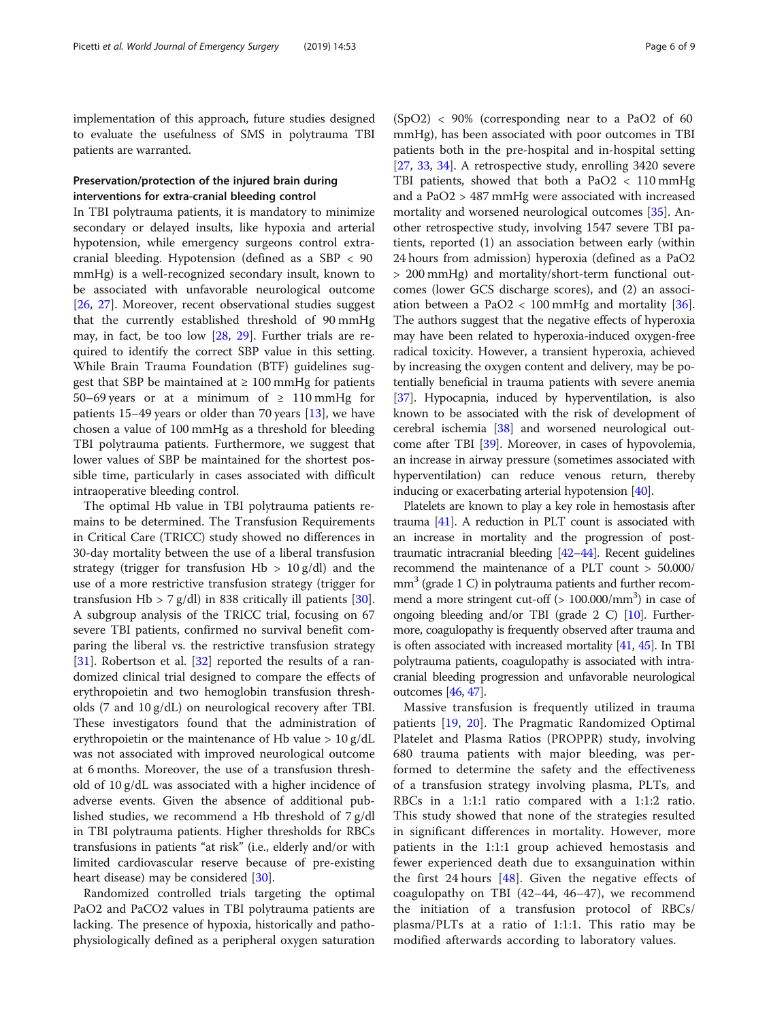implementation of this approach, future studies designed to evaluate the usefulness of SMS in polytrauma TBI patients are warranted.

# Preservation/protection of the injured brain during interventions for extra-cranial bleeding control

In TBI polytrauma patients, it is mandatory to minimize secondary or delayed insults, like hypoxia and arterial hypotension, while emergency surgeons control extracranial bleeding. Hypotension (defined as a SBP < 90 mmHg) is a well-recognized secondary insult, known to be associated with unfavorable neurological outcome [[26,](#page-7-0) [27\]](#page-7-0). Moreover, recent observational studies suggest that the currently established threshold of 90 mmHg may, in fact, be too low [\[28,](#page-7-0) [29](#page-7-0)]. Further trials are required to identify the correct SBP value in this setting. While Brain Trauma Foundation (BTF) guidelines suggest that SBP be maintained at  $\geq 100$  mmHg for patients 50–69 years or at a minimum of  $\geq 110$  mmHg for patients 15–49 years or older than 70 years [\[13](#page-7-0)], we have chosen a value of 100 mmHg as a threshold for bleeding TBI polytrauma patients. Furthermore, we suggest that lower values of SBP be maintained for the shortest possible time, particularly in cases associated with difficult intraoperative bleeding control.

The optimal Hb value in TBI polytrauma patients remains to be determined. The Transfusion Requirements in Critical Care (TRICC) study showed no differences in 30-day mortality between the use of a liberal transfusion strategy (trigger for transfusion  $Hb > 10$  g/dl) and the use of a more restrictive transfusion strategy (trigger for transfusion Hb  $> 7$  g/dl) in 838 critically ill patients [\[30](#page-7-0)]. A subgroup analysis of the TRICC trial, focusing on 67 severe TBI patients, confirmed no survival benefit comparing the liberal vs. the restrictive transfusion strategy [[31\]](#page-7-0). Robertson et al. [\[32](#page-7-0)] reported the results of a randomized clinical trial designed to compare the effects of erythropoietin and two hemoglobin transfusion thresholds (7 and 10 g/dL) on neurological recovery after TBI. These investigators found that the administration of erythropoietin or the maintenance of Hb value  $> 10 \text{ g/d}$ L was not associated with improved neurological outcome at 6 months. Moreover, the use of a transfusion threshold of 10 g/dL was associated with a higher incidence of adverse events. Given the absence of additional published studies, we recommend a Hb threshold of 7 g/dl in TBI polytrauma patients. Higher thresholds for RBCs transfusions in patients "at risk" (i.e., elderly and/or with limited cardiovascular reserve because of pre-existing heart disease) may be considered [[30\]](#page-7-0).

Randomized controlled trials targeting the optimal PaO2 and PaCO2 values in TBI polytrauma patients are lacking. The presence of hypoxia, historically and pathophysiologically defined as a peripheral oxygen saturation

 $(SpO2)$  < 90% (corresponding near to a PaO2 of 60 mmHg), has been associated with poor outcomes in TBI patients both in the pre-hospital and in-hospital setting [[27,](#page-7-0) [33](#page-7-0), [34](#page-7-0)]. A retrospective study, enrolling 3420 severe TBI patients, showed that both a PaO2 < 110 mmHg and a PaO2 > 487 mmHg were associated with increased mortality and worsened neurological outcomes [\[35](#page-7-0)]. Another retrospective study, involving 1547 severe TBI patients, reported (1) an association between early (within 24 hours from admission) hyperoxia (defined as a PaO2 > 200 mmHg) and mortality/short-term functional outcomes (lower GCS discharge scores), and (2) an association between a PaO2  $<$  100 mmHg and mortality [\[36](#page-7-0)]. The authors suggest that the negative effects of hyperoxia may have been related to hyperoxia-induced oxygen-free radical toxicity. However, a transient hyperoxia, achieved by increasing the oxygen content and delivery, may be potentially beneficial in trauma patients with severe anemia [[37](#page-7-0)]. Hypocapnia, induced by hyperventilation, is also known to be associated with the risk of development of cerebral ischemia [\[38\]](#page-7-0) and worsened neurological outcome after TBI [\[39](#page-7-0)]. Moreover, in cases of hypovolemia, an increase in airway pressure (sometimes associated with hyperventilation) can reduce venous return, thereby inducing or exacerbating arterial hypotension [[40\]](#page-8-0).

Platelets are known to play a key role in hemostasis after trauma [[41](#page-8-0)]. A reduction in PLT count is associated with an increase in mortality and the progression of posttraumatic intracranial bleeding [\[42](#page-8-0)–[44](#page-8-0)]. Recent guidelines recommend the maintenance of a PLT count > 50.000/  $mm<sup>3</sup>$  (grade 1 C) in polytrauma patients and further recommend a more stringent cut-off (> 100.000/mm<sup>3</sup>) in case of ongoing bleeding and/or TBI (grade 2 C) [\[10\]](#page-7-0). Furthermore, coagulopathy is frequently observed after trauma and is often associated with increased mortality  $[41, 45]$  $[41, 45]$  $[41, 45]$  $[41, 45]$ . In TBI polytrauma patients, coagulopathy is associated with intracranial bleeding progression and unfavorable neurological outcomes [\[46,](#page-8-0) [47\]](#page-8-0).

Massive transfusion is frequently utilized in trauma patients [\[19](#page-7-0), [20\]](#page-7-0). The Pragmatic Randomized Optimal Platelet and Plasma Ratios (PROPPR) study, involving 680 trauma patients with major bleeding, was performed to determine the safety and the effectiveness of a transfusion strategy involving plasma, PLTs, and RBCs in a 1:1:1 ratio compared with a 1:1:2 ratio. This study showed that none of the strategies resulted in significant differences in mortality. However, more patients in the 1:1:1 group achieved hemostasis and fewer experienced death due to exsanguination within the first 24 hours [\[48](#page-8-0)]. Given the negative effects of coagulopathy on TBI (42–44, 46–47), we recommend the initiation of a transfusion protocol of RBCs/ plasma/PLTs at a ratio of 1:1:1. This ratio may be modified afterwards according to laboratory values.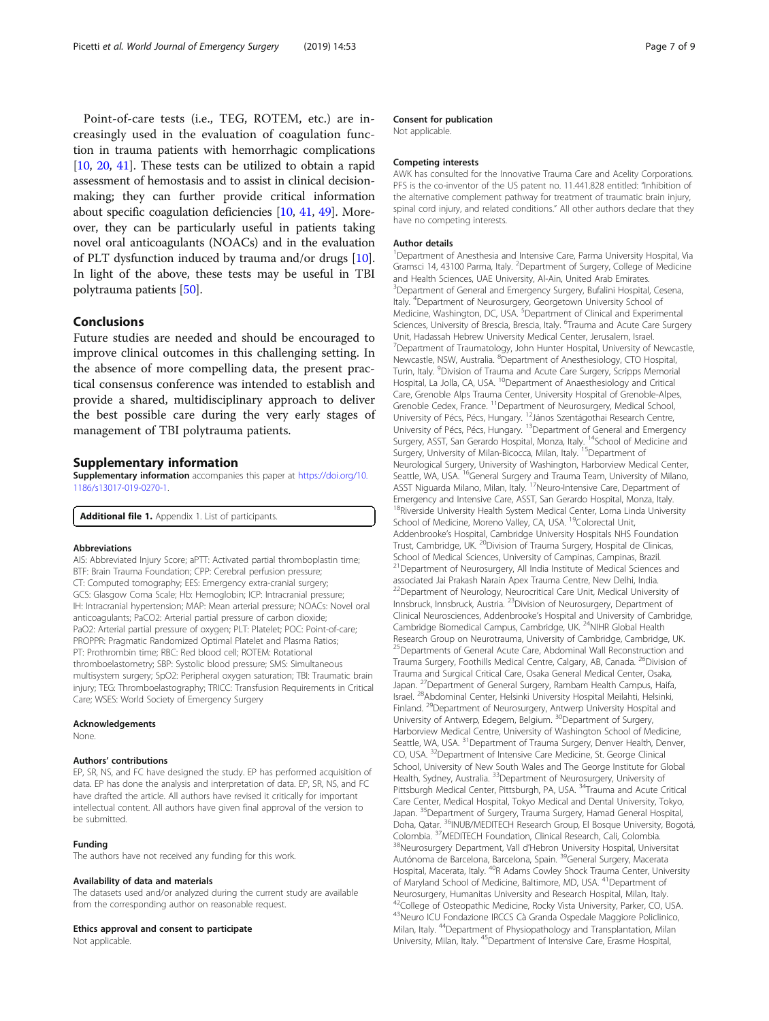<span id="page-6-0"></span>Point-of-care tests (i.e., TEG, ROTEM, etc.) are increasingly used in the evaluation of coagulation function in trauma patients with hemorrhagic complications [[10](#page-7-0), [20,](#page-7-0) [41](#page-8-0)]. These tests can be utilized to obtain a rapid assessment of hemostasis and to assist in clinical decisionmaking; they can further provide critical information about specific coagulation deficiencies [\[10,](#page-7-0) [41,](#page-8-0) [49\]](#page-8-0). Moreover, they can be particularly useful in patients taking novel oral anticoagulants (NOACs) and in the evaluation of PLT dysfunction induced by trauma and/or drugs [[10](#page-7-0)]. In light of the above, these tests may be useful in TBI polytrauma patients [\[50\]](#page-8-0).

#### Conclusions

Future studies are needed and should be encouraged to improve clinical outcomes in this challenging setting. In the absence of more compelling data, the present practical consensus conference was intended to establish and provide a shared, multidisciplinary approach to deliver the best possible care during the very early stages of management of TBI polytrauma patients.

#### Supplementary information

Supplementary information accompanies this paper at [https://doi.org/10.](https://doi.org/10.1186/s13017-019-0270-1) [1186/s13017-019-0270-1.](https://doi.org/10.1186/s13017-019-0270-1)

Additional file 1. Appendix 1. List of participants.

#### Abbreviations

AIS: Abbreviated Injury Score; aPTT: Activated partial thromboplastin time; BTF: Brain Trauma Foundation; CPP: Cerebral perfusion pressure; CT: Computed tomography; EES: Emergency extra-cranial surgery; GCS: Glasgow Coma Scale; Hb: Hemoglobin; ICP: Intracranial pressure; IH: Intracranial hypertension; MAP: Mean arterial pressure; NOACs: Novel oral anticoagulants; PaCO2: Arterial partial pressure of carbon dioxide; PaO2: Arterial partial pressure of oxygen; PLT: Platelet; POC: Point-of-care; PROPPR: Pragmatic Randomized Optimal Platelet and Plasma Ratios; PT: Prothrombin time; RBC: Red blood cell; ROTEM: Rotational thromboelastometry; SBP: Systolic blood pressure; SMS: Simultaneous multisystem surgery; SpO2: Peripheral oxygen saturation; TBI: Traumatic brain injury; TEG: Thromboelastography; TRICC: Transfusion Requirements in Critical Care; WSES: World Society of Emergency Surgery

#### Acknowledgements

None.

#### Authors' contributions

EP, SR, NS, and FC have designed the study. EP has performed acquisition of data. EP has done the analysis and interpretation of data. EP, SR, NS, and FC have drafted the article. All authors have revised it critically for important intellectual content. All authors have given final approval of the version to be submitted.

#### Funding

The authors have not received any funding for this work.

#### Availability of data and materials

The datasets used and/or analyzed during the current study are available from the corresponding author on reasonable request.

#### Ethics approval and consent to participate

Not applicable.

#### Consent for publication

Not applicable.

#### Competing interests

AWK has consulted for the Innovative Trauma Care and Acelity Corporations. PFS is the co-inventor of the US patent no. 11.441.828 entitled: "Inhibition of the alternative complement pathway for treatment of traumatic brain injury, spinal cord injury, and related conditions." All other authors declare that they have no competing interests.

#### Author details

<sup>1</sup>Department of Anesthesia and Intensive Care, Parma University Hospital, Via Gramsci 14, 43100 Parma, Italy. <sup>2</sup> Department of Surgery, College of Medicine and Health Sciences, UAE University, Al-Ain, United Arab Emirates. <sup>3</sup>Department of General and Emergency Surgery, Bufalini Hospital, Cesena, Italy. <sup>4</sup>Department of Neurosurgery, Georgetown University School of Medicine, Washington, DC, USA.<sup>5</sup> Department of Clinical and Experimental Sciences, University of Brescia, Brescia, Italy. <sup>6</sup>Trauma and Acute Care Surgery Unit, Hadassah Hebrew University Medical Center, Jerusalem, Israel. <sup>7</sup>Department of Traumatology, John Hunter Hospital, University of Newcastle Newcastle, NSW, Australia. <sup>8</sup>Department of Anesthesiology, CTO Hospital Turin, Italy. <sup>9</sup> Division of Trauma and Acute Care Surgery, Scripps Memorial Hospital, La Jolla, CA, USA. <sup>10</sup>Department of Anaesthesiology and Critical Care, Grenoble Alps Trauma Center, University Hospital of Grenoble-Alpes, Grenoble Cedex, France. 11Department of Neurosurgery, Medical School, University of Pécs, Pécs, Hungary. 12János Szentágothai Research Centre, University of Pécs, Pécs, Hungary. <sup>13</sup>Department of General and Emergency Surgery, ASST, San Gerardo Hospital, Monza, Italy. <sup>14</sup>School of Medicine and Surgery, University of Milan-Bicocca, Milan, Italy. <sup>15</sup>Department of Neurological Surgery, University of Washington, Harborview Medical Center, Seattle, WA, USA. <sup>16</sup>General Surgery and Trauma Team, University of Milano, ASST Niguarda Milano, Milan, Italy. 17Neuro-Intensive Care, Department of Emergency and Intensive Care, ASST, San Gerardo Hospital, Monza, Italy. <sup>18</sup>Riverside University Health System Medical Center, Loma Linda University School of Medicine, Moreno Valley, CA, USA. <sup>19</sup>Colorectal Unit, Addenbrooke's Hospital, Cambridge University Hospitals NHS Foundation Trust, Cambridge, UK. <sup>20</sup>Division of Trauma Surgery, Hospital de Clinicas, School of Medical Sciences, University of Campinas, Campinas, Brazil. <sup>21</sup> Department of Neurosurgery, All India Institute of Medical Sciences and associated Jai Prakash Narain Apex Trauma Centre, New Delhi, India. <sup>22</sup>Department of Neurology, Neurocritical Care Unit, Medical University of Innsbruck, Innsbruck, Austria. 23Division of Neurosurgery, Department of Clinical Neurosciences, Addenbrooke's Hospital and University of Cambridge, Cambridge Biomedical Campus, Cambridge, UK. 24NIHR Global Health Research Group on Neurotrauma, University of Cambridge, Cambridge, UK. <sup>25</sup>Departments of General Acute Care, Abdominal Wall Reconstruction and Trauma Surgery, Foothills Medical Centre, Calgary, AB, Canada. <sup>26</sup>Division of Trauma and Surgical Critical Care, Osaka General Medical Center, Osaka, Japan. 27Department of General Surgery, Rambam Health Campus, Haifa, Israel. 28Abdominal Center, Helsinki University Hospital Meilahti, Helsinki, Finland. <sup>29</sup>Department of Neurosurgery, Antwerp University Hospital and University of Antwerp, Edegem, Belgium. <sup>30</sup>Department of Surgery, Harborview Medical Centre, University of Washington School of Medicine, Seattle, WA, USA. <sup>31</sup>Department of Trauma Surgery, Denver Health, Denver, CO, USA. 32Department of Intensive Care Medicine, St. George Clinical School, University of New South Wales and The George Institute for Global Health, Sydney, Australia. <sup>33</sup>Department of Neurosurgery, University of Pittsburgh Medical Center, Pittsburgh, PA, USA. <sup>34</sup>Trauma and Acute Critical Care Center, Medical Hospital, Tokyo Medical and Dental University, Tokyo, Japan. <sup>35</sup>Department of Surgery, Trauma Surgery, Hamad General Hospital, Doha, Qatar. <sup>36</sup>INUB/MEDITECH Research Group, El Bosque University, Bogotá, Colombia. <sup>37</sup>MEDITECH Foundation, Clinical Research, Cali, Colombia.<br><sup>38</sup>Neurosurgery Department, Vall d'Hebron University Hospital, Universitat Autónoma de Barcelona, Barcelona, Spain. <sup>39</sup>General Surgery, Macerata Hospital, Macerata, Italy. <sup>40</sup>R Adams Cowley Shock Trauma Center, University of Maryland School of Medicine, Baltimore, MD, USA. <sup>41</sup>Department of Neurosurgery, Humanitas University and Research Hospital, Milan, Italy. <sup>2</sup>College of Osteopathic Medicine, Rocky Vista University, Parker, CO, USA. 43Neuro ICU Fondazione IRCCS Cà Granda Ospedale Maggiore Policlinico, Milan, Italy. 44Department of Physiopathology and Transplantation, Milan University, Milan, Italy. 45Department of Intensive Care, Erasme Hospital,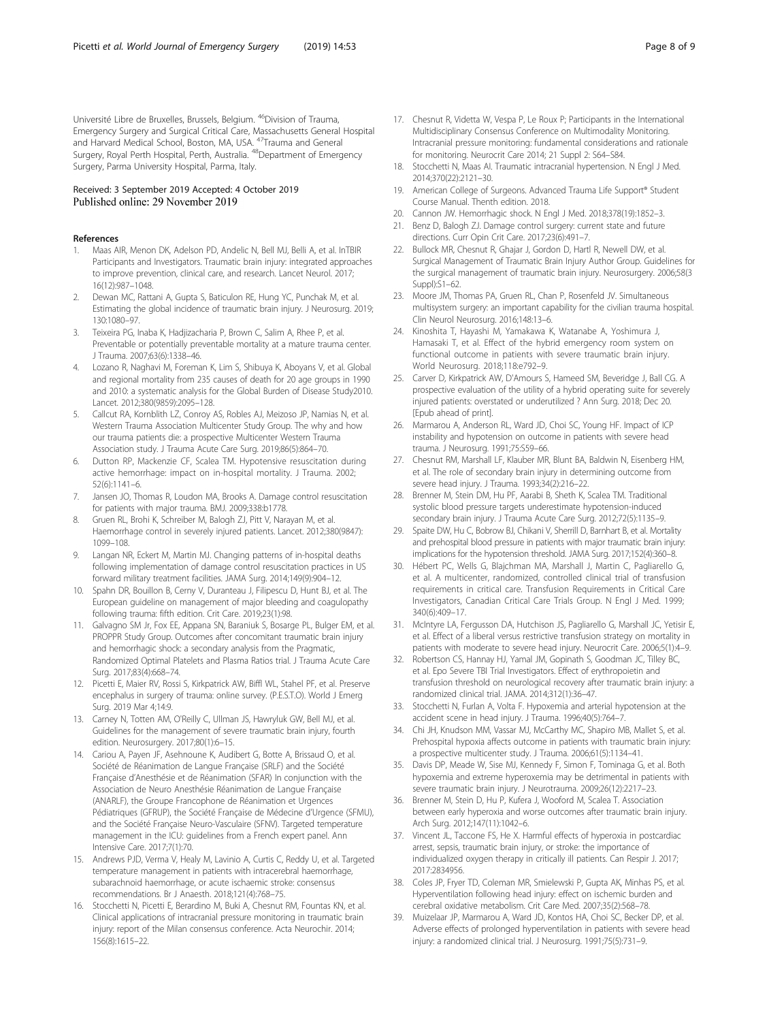<span id="page-7-0"></span>Université Libre de Bruxelles, Brussels, Belgium. 46Division of Trauma, Emergency Surgery and Surgical Critical Care, Massachusetts General Hospital and Harvard Medical School, Boston, MA, USA. 47Trauma and General Surgery, Royal Perth Hospital, Perth, Australia. 48Department of Emergency Surgery, Parma University Hospital, Parma, Italy.

#### Received: 3 September 2019 Accepted: 4 October 2019 Published online: 29 November 2019

#### References

- 1. Maas AIR, Menon DK, Adelson PD, Andelic N, Bell MJ, Belli A, et al. InTBIR Participants and Investigators. Traumatic brain injury: integrated approaches to improve prevention, clinical care, and research. Lancet Neurol. 2017; 16(12):987–1048.
- 2. Dewan MC, Rattani A, Gupta S, Baticulon RE, Hung YC, Punchak M, et al. Estimating the global incidence of traumatic brain injury. J Neurosurg. 2019; 130:1080–97.
- 3. Teixeira PG, Inaba K, Hadjizacharia P, Brown C, Salim A, Rhee P, et al. Preventable or potentially preventable mortality at a mature trauma center. J Trauma. 2007;63(6):1338–46.
- 4. Lozano R, Naghavi M, Foreman K, Lim S, Shibuya K, Aboyans V, et al. Global and regional mortality from 235 causes of death for 20 age groups in 1990 and 2010: a systematic analysis for the Global Burden of Disease Study2010. Lancet. 2012;380(9859):2095–128.
- Callcut RA, Kornblith LZ, Conroy AS, Robles AJ, Meizoso JP, Namias N, et al. Western Trauma Association Multicenter Study Group. The why and how our trauma patients die: a prospective Multicenter Western Trauma Association study. J Trauma Acute Care Surg. 2019;86(5):864–70.
- 6. Dutton RP, Mackenzie CF, Scalea TM. Hypotensive resuscitation during active hemorrhage: impact on in-hospital mortality. J Trauma. 2002; 52(6):1141–6.
- Jansen JO, Thomas R, Loudon MA, Brooks A. Damage control resuscitation for patients with major trauma. BMJ. 2009;338:b1778.
- 8. Gruen RL, Brohi K, Schreiber M, Balogh ZJ, Pitt V, Narayan M, et al. Haemorrhage control in severely injured patients. Lancet. 2012;380(9847): 1099–108.
- Langan NR, Eckert M, Martin MJ. Changing patterns of in-hospital deaths following implementation of damage control resuscitation practices in US forward military treatment facilities. JAMA Surg. 2014;149(9):904–12.
- 10. Spahn DR, Bouillon B, Cerny V, Duranteau J, Filipescu D, Hunt BJ, et al. The European guideline on management of major bleeding and coagulopathy following trauma: fifth edition. Crit Care. 2019;23(1):98.
- 11. Galvagno SM Jr, Fox EE, Appana SN, Baraniuk S, Bosarge PL, Bulger EM, et al. PROPPR Study Group. Outcomes after concomitant traumatic brain injury and hemorrhagic shock: a secondary analysis from the Pragmatic, Randomized Optimal Platelets and Plasma Ratios trial. J Trauma Acute Care Surg. 2017;83(4):668–74.
- 12. Picetti E, Maier RV, Rossi S, Kirkpatrick AW, Biffl WL, Stahel PF, et al. Preserve encephalus in surgery of trauma: online survey. (P.E.S.T.O). World J Emerg Surg. 2019 Mar 4;14:9.
- 13. Carney N, Totten AM, O'Reilly C, Ullman JS, Hawryluk GW, Bell MJ, et al. Guidelines for the management of severe traumatic brain injury, fourth edition. Neurosurgery. 2017;80(1):6–15.
- 14. Cariou A, Payen JF, Asehnoune K, Audibert G, Botte A, Brissaud O, et al. Société de Réanimation de Langue Française (SRLF) and the Société Française d'Anesthésie et de Réanimation (SFAR) In conjunction with the Association de Neuro Anesthésie Réanimation de Langue Française (ANARLF), the Groupe Francophone de Réanimation et Urgences Pédiatriques (GFRUP), the Société Française de Médecine d'Urgence (SFMU), and the Société Française Neuro-Vasculaire (SFNV). Targeted temperature management in the ICU: guidelines from a French expert panel. Ann Intensive Care. 2017;7(1):70.
- 15. Andrews PJD, Verma V, Healy M, Lavinio A, Curtis C, Reddy U, et al. Targeted temperature management in patients with intracerebral haemorrhage, subarachnoid haemorrhage, or acute ischaemic stroke: consensus recommendations. Br J Anaesth. 2018;121(4):768–75.
- 16. Stocchetti N, Picetti E, Berardino M, Buki A, Chesnut RM, Fountas KN, et al. Clinical applications of intracranial pressure monitoring in traumatic brain injury: report of the Milan consensus conference. Acta Neurochir. 2014; 156(8):1615–22.
- 17. Chesnut R, Videtta W, Vespa P, Le Roux P; Participants in the International Multidisciplinary Consensus Conference on Multimodality Monitoring. Intracranial pressure monitoring: fundamental considerations and rationale for monitoring. Neurocrit Care 2014; 21 Suppl 2: S64–S84.
- 18. Stocchetti N, Maas AI. Traumatic intracranial hypertension. N Engl J Med. 2014;370(22):2121–30.
- 19. American College of Surgeons. Advanced Trauma Life Support® Student Course Manual. Thenth edition. 2018.
- 20. Cannon JW. Hemorrhagic shock. N Engl J Med. 2018;378(19):1852–3.
- 21. Benz D, Balogh ZJ. Damage control surgery: current state and future directions. Curr Opin Crit Care. 2017;23(6):491–7.
- 22. Bullock MR, Chesnut R, Ghajar J, Gordon D, Hartl R, Newell DW, et al. Surgical Management of Traumatic Brain Injury Author Group. Guidelines for the surgical management of traumatic brain injury. Neurosurgery. 2006;58(3 Suppl):S1–62.
- 23. Moore JM, Thomas PA, Gruen RL, Chan P, Rosenfeld JV. Simultaneous multisystem surgery: an important capability for the civilian trauma hospital. Clin Neurol Neurosurg. 2016;148:13–6.
- 24. Kinoshita T, Hayashi M, Yamakawa K, Watanabe A, Yoshimura J, Hamasaki T, et al. Effect of the hybrid emergency room system on functional outcome in patients with severe traumatic brain injury. World Neurosurg. 2018;118:e792–9.
- 25. Carver D, Kirkpatrick AW, D'Amours S, Hameed SM, Beveridge J, Ball CG. A prospective evaluation of the utility of a hybrid operating suite for severely injured patients: overstated or underutilized ? Ann Surg. 2018; Dec 20. [Epub ahead of print].
- 26. Marmarou A, Anderson RL, Ward JD, Choi SC, Young HF. Impact of ICP instability and hypotension on outcome in patients with severe head trauma. J Neurosurg. 1991;75:S59–66.
- 27. Chesnut RM, Marshall LF, Klauber MR, Blunt BA, Baldwin N, Eisenberg HM, et al. The role of secondary brain injury in determining outcome from severe head injury. J Trauma. 1993;34(2):216–22.
- 28. Brenner M, Stein DM, Hu PF, Aarabi B, Sheth K, Scalea TM. Traditional systolic blood pressure targets underestimate hypotension-induced secondary brain injury. J Trauma Acute Care Surg. 2012;72(5):1135–9.
- 29. Spaite DW, Hu C, Bobrow BJ, Chikani V, Sherrill D, Barnhart B, et al. Mortality and prehospital blood pressure in patients with major traumatic brain injury: implications for the hypotension threshold. JAMA Surg. 2017;152(4):360–8.
- 30. Hébert PC, Wells G, Blajchman MA, Marshall J, Martin C, Pagliarello G, et al. A multicenter, randomized, controlled clinical trial of transfusion requirements in critical care. Transfusion Requirements in Critical Care Investigators, Canadian Critical Care Trials Group. N Engl J Med. 1999; 340(6):409–17.
- 31. McIntyre LA, Fergusson DA, Hutchison JS, Pagliarello G, Marshall JC, Yetisir E, et al. Effect of a liberal versus restrictive transfusion strategy on mortality in patients with moderate to severe head injury. Neurocrit Care. 2006;5(1):4–9.
- 32. Robertson CS, Hannay HJ, Yamal JM, Gopinath S, Goodman JC, Tilley BC, et al. Epo Severe TBI Trial Investigators. Effect of erythropoietin and transfusion threshold on neurological recovery after traumatic brain injury: a randomized clinical trial. JAMA. 2014;312(1):36–47.
- 33. Stocchetti N, Furlan A, Volta F. Hypoxemia and arterial hypotension at the accident scene in head injury. J Trauma. 1996;40(5):764–7.
- 34. Chi JH, Knudson MM, Vassar MJ, McCarthy MC, Shapiro MB, Mallet S, et al. Prehospital hypoxia affects outcome in patients with traumatic brain injury: a prospective multicenter study. J Trauma. 2006;61(5):1134–41.
- 35. Davis DP, Meade W, Sise MJ, Kennedy F, Simon F, Tominaga G, et al. Both hypoxemia and extreme hyperoxemia may be detrimental in patients with severe traumatic brain injury. J Neurotrauma. 2009;26(12):2217–23.
- 36. Brenner M, Stein D, Hu P, Kufera J, Wooford M, Scalea T. Association between early hyperoxia and worse outcomes after traumatic brain injury. Arch Surg. 2012;147(11):1042–6.
- 37. Vincent JL, Taccone FS, He X. Harmful effects of hyperoxia in postcardiac arrest, sepsis, traumatic brain injury, or stroke: the importance of individualized oxygen therapy in critically ill patients. Can Respir J. 2017; 2017:2834956.
- 38. Coles JP, Fryer TD, Coleman MR, Smielewski P, Gupta AK, Minhas PS, et al. Hyperventilation following head injury: effect on ischemic burden and cerebral oxidative metabolism. Crit Care Med. 2007;35(2):568–78.
- 39. Muizelaar JP, Marmarou A, Ward JD, Kontos HA, Choi SC, Becker DP, et al. Adverse effects of prolonged hyperventilation in patients with severe head injury: a randomized clinical trial. J Neurosurg. 1991;75(5):731–9.